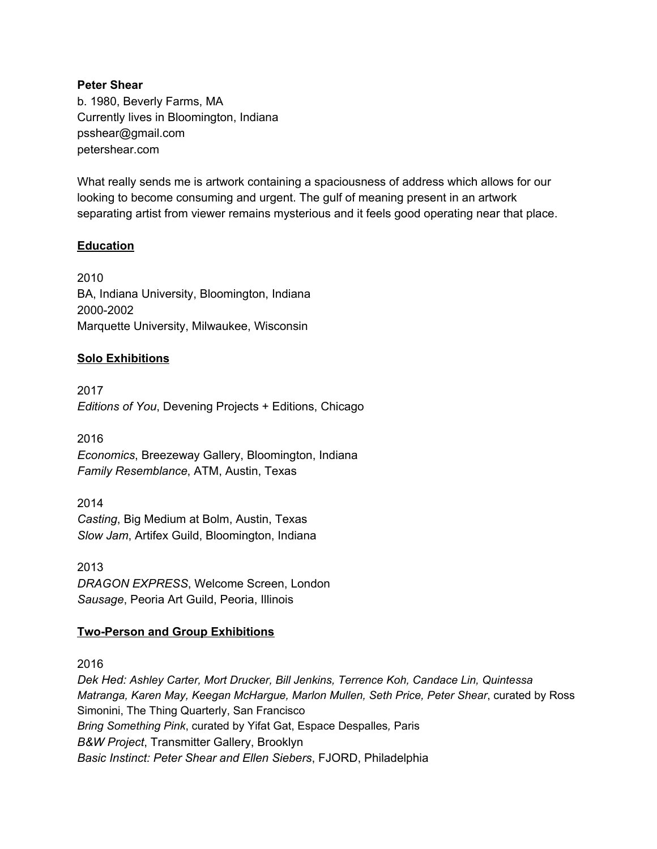#### **Peter Shear**

b. 1980, Beverly Farms, MA Currently lives in Bloomington, Indiana psshear@gmail.com petershear.com

What really sends me is artwork containing a spaciousness of address which allows for our looking to become consuming and urgent. The gulf of meaning present in an artwork separating artist from viewer remains mysterious and it feels good operating near that place.

### **Education**

2010 BA, Indiana University, Bloomington, Indiana 2000-2002 Marquette University, Milwaukee, Wisconsin

#### **Solo Exhibitions**

2017 *Editions of You*, Devening Projects + Editions, Chicago

2016 *Economics*, Breezeway Gallery, Bloomington, Indiana *Family Resemblance*, ATM, Austin, Texas

2014 *Casting*, Big Medium at Bolm, Austin, Texas *Slow Jam*, Artifex Guild, Bloomington, Indiana

2013 *DRAGON EXPRESS*, Welcome Screen, London *Sausage*, Peoria Art Guild, Peoria, Illinois

### **Two-Person and Group Exhibitions**

2016

*Dek Hed: Ashley Carter, Mort Drucker, Bill Jenkins, Terrence Koh, Candace Lin, Quintessa Matranga, Karen May, Keegan McHargue, Marlon Mullen, Seth Price, Peter Shear*, curated by Ross Simonini, The Thing Quarterly, San Francisco *Bring Something Pink*, curated by Yifat Gat, Espace Despalles*,* Paris *B&W Project*, Transmitter Gallery, Brooklyn *Basic Instinct: Peter Shear and Ellen Siebers*, FJORD, Philadelphia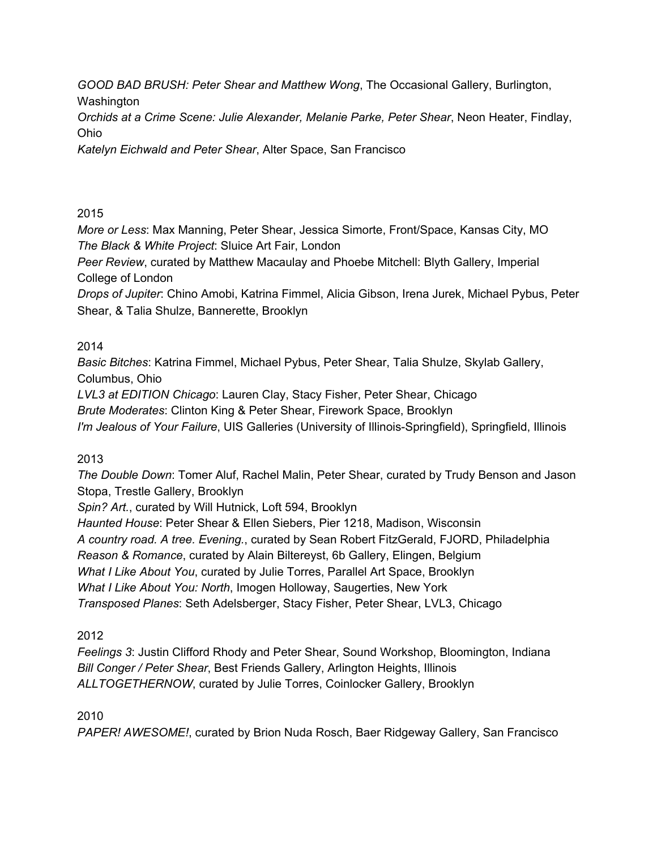*GOOD BAD BRUSH: Peter Shear and Matthew Wong*, The Occasional Gallery, Burlington, Washington

*Orchids at a Crime Scene: Julie Alexander, Melanie Parke, Peter Shear*, Neon Heater, Findlay, Ohio

*Katelyn Eichwald and Peter Shear*, Alter Space, San Francisco

# 2015

*More or Less*: Max Manning, Peter Shear, Jessica Simorte, Front/Space, Kansas City, MO *The Black & White Project*: Sluice Art Fair, London

*Peer Review*, curated by Matthew Macaulay and Phoebe Mitchell: Blyth Gallery, Imperial College of London

*Drops of Jupiter*: Chino Amobi, Katrina Fimmel, Alicia Gibson, Irena Jurek, Michael Pybus, Peter Shear, & Talia Shulze, Bannerette, Brooklyn

# 2014

*Basic Bitches*: Katrina Fimmel, Michael Pybus, Peter Shear, Talia Shulze, Skylab Gallery, Columbus, Ohio

*LVL3 at EDITION Chicago*: Lauren Clay, Stacy Fisher, Peter Shear, Chicago

*Brute Moderates*: Clinton King & Peter Shear, Firework Space, Brooklyn

*I'm Jealous of Your Failure*, UIS Galleries (University of Illinois-Springfield), Springfield, Illinois

# 2013

*The Double Down*: Tomer Aluf, Rachel Malin, Peter Shear, curated by Trudy Benson and Jason Stopa, Trestle Gallery, Brooklyn

*Spin? Art.*, curated by Will Hutnick, Loft 594, Brooklyn

*Haunted House*: Peter Shear & Ellen Siebers, Pier 1218, Madison, Wisconsin *A country road. A tree. Evening.*, curated by Sean Robert FitzGerald, FJORD, Philadelphia *Reason & Romance*, curated by Alain Biltereyst, 6b Gallery, Elingen, Belgium *What I Like About You*, curated by Julie Torres, Parallel Art Space, Brooklyn *What I Like About You: North*, Imogen Holloway, Saugerties, New York *Transposed Planes*: Seth Adelsberger, Stacy Fisher, Peter Shear, LVL3, Chicago

# 2012

*Feelings 3*: Justin Clifford Rhody and Peter Shear, Sound Workshop, Bloomington, Indiana *Bill Conger / Peter Shear*, Best Friends Gallery, Arlington Heights, Illinois *ALLTOGETHERNOW*, curated by Julie Torres, Coinlocker Gallery, Brooklyn

# 2010

*PAPER! AWESOME!*, curated by Brion Nuda Rosch, Baer Ridgeway Gallery, San Francisco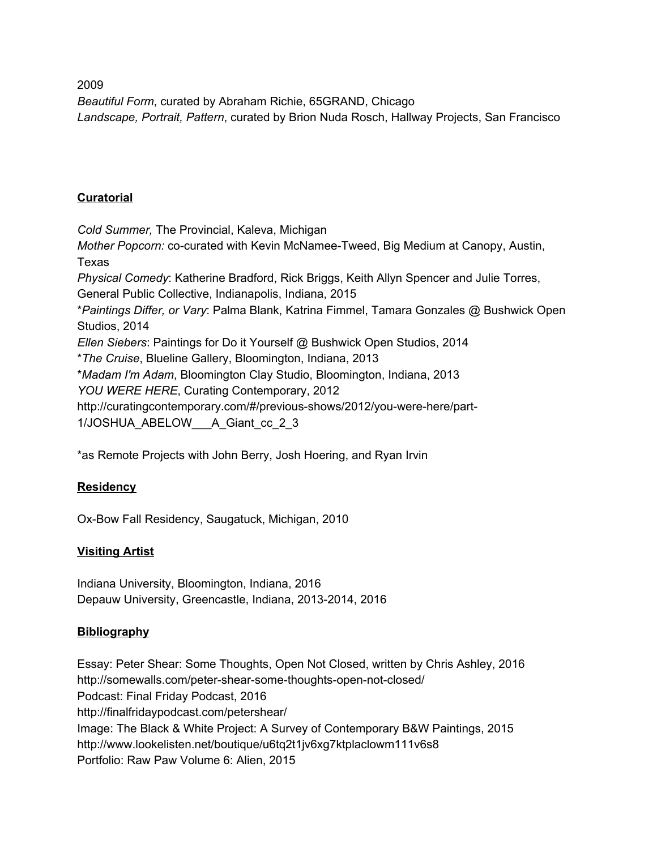*Beautiful Form*, curated by Abraham Richie, 65GRAND, Chicago *Landscape, Portrait, Pattern*, curated by Brion Nuda Rosch, Hallway Projects, San Francisco

## **Curatorial**

*Cold Summer,* The Provincial, Kaleva, Michigan *Mother Popcorn:* co-curated with Kevin McNamee-Tweed, Big Medium at Canopy, Austin, Texas *Physical Comedy*: Katherine Bradford, Rick Briggs, Keith Allyn Spencer and Julie Torres, General Public Collective, Indianapolis, Indiana, 2015 \**Paintings Differ, or Vary*: Palma Blank, Katrina Fimmel, Tamara Gonzales @ Bushwick Open Studios, 2014 *Ellen Siebers*: Paintings for Do it Yourself @ Bushwick Open Studios, 2014 \**The Cruise*, Blueline Gallery, Bloomington, Indiana, 2013 \**Madam I'm Adam*, Bloomington Clay Studio, Bloomington, Indiana, 2013 *YOU WERE HERE*, Curating Contemporary, 2012 http://curatingcontemporary.com/#/previous-shows/2012/you-were-here/part-1/JOSHUA\_ABELOW\_\_\_A\_Giant\_cc\_2\_3

\*as Remote Projects with John Berry, Josh Hoering, and Ryan Irvin

### **Residency**

Ox-Bow Fall Residency, Saugatuck, Michigan, 2010

### **Visiting Artist**

Indiana University, Bloomington, Indiana, 2016 Depauw University, Greencastle, Indiana, 2013-2014, 2016

### **Bibliography**

Essay: Peter Shear: Some Thoughts, Open Not Closed, written by Chris Ashley, 2016 http://somewalls.com/peter-shear-some-thoughts-open-not-closed/ Podcast: Final Friday Podcast, 2016 http://finalfridaypodcast.com/petershear/ Image: The Black & White Project: A Survey of Contemporary B&W Paintings, 2015 http://www.lookelisten.net/boutique/u6tq2t1jv6xg7ktplaclowm111v6s8 Portfolio: Raw Paw Volume 6: Alien, 2015

2009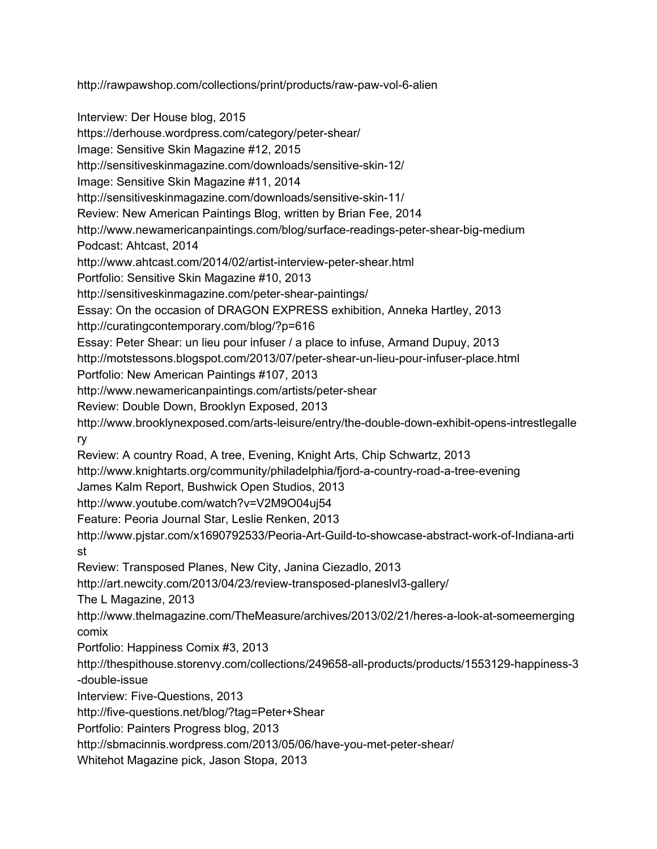http://rawpawshop.com/collections/print/products/raw-paw-vol-6-alien

Interview: Der House blog, 2015

https://derhouse.wordpress.com/category/peter-shear/

Image: Sensitive Skin Magazine #12, 2015

http://sensitiveskinmagazine.com/downloads/sensitive-skin-12/

Image: Sensitive Skin Magazine #11, 2014

http://sensitiveskinmagazine.com/downloads/sensitive-skin-11/

Review: New American Paintings Blog, written by Brian Fee, 2014

http://www.newamericanpaintings.com/blog/surface-readings-peter-shear-big-medium Podcast: Ahtcast, 2014

http://www.ahtcast.com/2014/02/artist-interview-peter-shear.html

Portfolio: Sensitive Skin Magazine #10, 2013

http://sensitiveskinmagazine.com/peter-shear-paintings/

Essay: On the occasion of DRAGON EXPRESS exhibition, Anneka Hartley, 2013

http://curatingcontemporary.com/blog/?p=616

Essay: Peter Shear: un lieu pour infuser / a place to infuse, Armand Dupuy, 2013

http://motstessons.blogspot.com/2013/07/peter-shear-un-lieu-pour-infuser-place.html

Portfolio: New American Paintings #107, 2013

http://www.newamericanpaintings.com/artists/peter-shear

Review: Double Down, Brooklyn Exposed, 2013

http://www.brooklynexposed.com/arts-leisure/entry/the-double-down-exhibit-opens-intrestlegalle ry

Review: A country Road, A tree, Evening, Knight Arts, Chip Schwartz, 2013

http://www.knightarts.org/community/philadelphia/fjord-a-country-road-a-tree-evening

James Kalm Report, Bushwick Open Studios, 2013

http://www.youtube.com/watch?v=V2M9O04uj54

Feature: Peoria Journal Star, Leslie Renken, 2013

http://www.pjstar.com/x1690792533/Peoria-Art-Guild-to-showcase-abstract-work-of-Indiana-arti st

Review: Transposed Planes, New City, Janina Ciezadlo, 2013

http://art.newcity.com/2013/04/23/review-transposed-planeslvl3-gallery/

The L Magazine, 2013

http://www.thelmagazine.com/TheMeasure/archives/2013/02/21/heres-a-look-at-someemerging comix

Portfolio: Happiness Comix #3, 2013

http://thespithouse.storenvy.com/collections/249658-all-products/products/1553129-happiness-3 -double-issue

Interview: Five-Questions, 2013

http://five-questions.net/blog/?tag=Peter+Shear

Portfolio: Painters Progress blog, 2013

http://sbmacinnis.wordpress.com/2013/05/06/have-you-met-peter-shear/

Whitehot Magazine pick, Jason Stopa, 2013